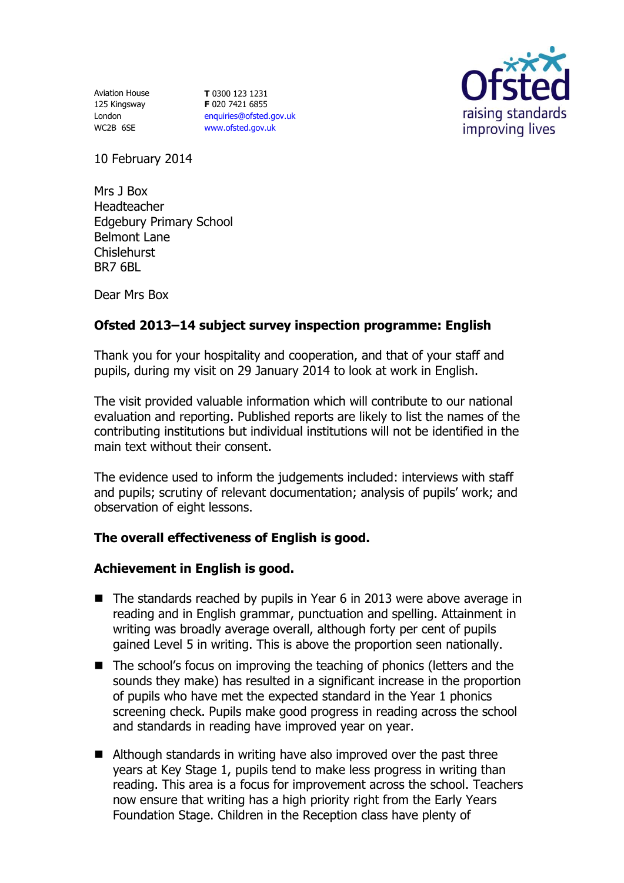Aviation House 125 Kingsway London WC2B 6SE

**T** 0300 123 1231 **F** 020 7421 6855 [enquiries@ofsted.gov.uk](mailto:enquiries@ofsted.gov.uk) [www.ofsted.gov.uk](http://www.ofsted.gov.uk/)



10 February 2014

Mrs J Box Headteacher Edgebury Primary School Belmont Lane Chislehurst BR7 6BL

Dear Mrs Box

# **Ofsted 2013–14 subject survey inspection programme: English**

Thank you for your hospitality and cooperation, and that of your staff and pupils, during my visit on 29 January 2014 to look at work in English.

The visit provided valuable information which will contribute to our national evaluation and reporting. Published reports are likely to list the names of the contributing institutions but individual institutions will not be identified in the main text without their consent.

The evidence used to inform the judgements included: interviews with staff and pupils; scrutiny of relevant documentation; analysis of pupils' work; and observation of eight lessons.

# **The overall effectiveness of English is good.**

## **Achievement in English is good.**

- The standards reached by pupils in Year 6 in 2013 were above average in reading and in English grammar, punctuation and spelling. Attainment in writing was broadly average overall, although forty per cent of pupils gained Level 5 in writing. This is above the proportion seen nationally.
- The school's focus on improving the teaching of phonics (letters and the sounds they make) has resulted in a significant increase in the proportion of pupils who have met the expected standard in the Year 1 phonics screening check. Pupils make good progress in reading across the school and standards in reading have improved year on year.
- Although standards in writing have also improved over the past three years at Key Stage 1, pupils tend to make less progress in writing than reading. This area is a focus for improvement across the school. Teachers now ensure that writing has a high priority right from the Early Years Foundation Stage. Children in the Reception class have plenty of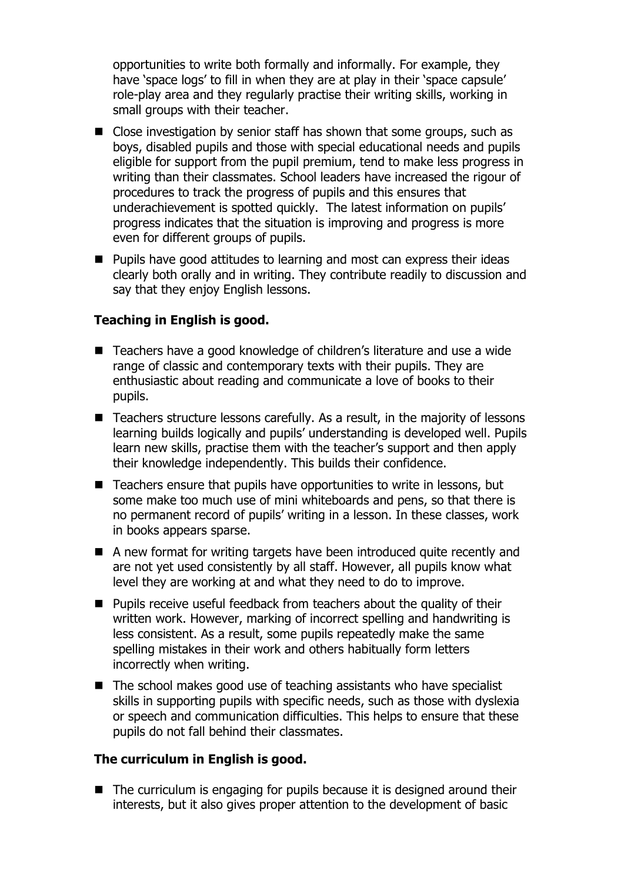opportunities to write both formally and informally. For example, they have 'space logs' to fill in when they are at play in their 'space capsule' role-play area and they regularly practise their writing skills, working in small groups with their teacher.

- Close investigation by senior staff has shown that some groups, such as boys, disabled pupils and those with special educational needs and pupils eligible for support from the pupil premium, tend to make less progress in writing than their classmates. School leaders have increased the rigour of procedures to track the progress of pupils and this ensures that underachievement is spotted quickly. The latest information on pupils' progress indicates that the situation is improving and progress is more even for different groups of pupils.
- **Pupils have good attitudes to learning and most can express their ideas** clearly both orally and in writing. They contribute readily to discussion and say that they enjoy English lessons.

### **Teaching in English is good.**

- Teachers have a good knowledge of children's literature and use a wide range of classic and contemporary texts with their pupils. They are enthusiastic about reading and communicate a love of books to their pupils.
- Teachers structure lessons carefully. As a result, in the majority of lessons learning builds logically and pupils' understanding is developed well. Pupils learn new skills, practise them with the teacher's support and then apply their knowledge independently. This builds their confidence.
- Teachers ensure that pupils have opportunities to write in lessons, but some make too much use of mini whiteboards and pens, so that there is no permanent record of pupils' writing in a lesson. In these classes, work in books appears sparse.
- A new format for writing targets have been introduced quite recently and are not yet used consistently by all staff. However, all pupils know what level they are working at and what they need to do to improve.
- $\blacksquare$  Pupils receive useful feedback from teachers about the quality of their written work. However, marking of incorrect spelling and handwriting is less consistent. As a result, some pupils repeatedly make the same spelling mistakes in their work and others habitually form letters incorrectly when writing.
- The school makes good use of teaching assistants who have specialist skills in supporting pupils with specific needs, such as those with dyslexia or speech and communication difficulties. This helps to ensure that these pupils do not fall behind their classmates.

### **The curriculum in English is good.**

■ The curriculum is engaging for pupils because it is designed around their interests, but it also gives proper attention to the development of basic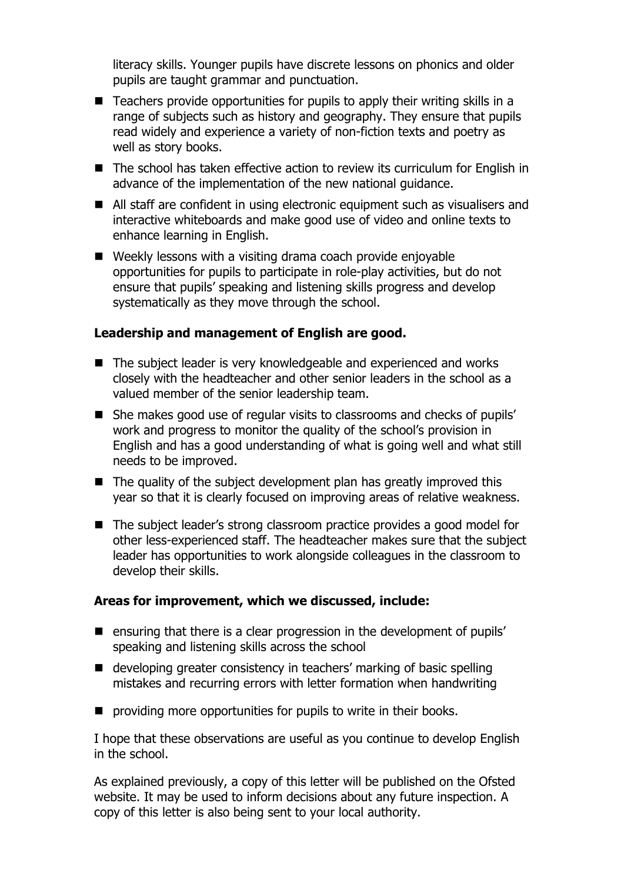literacy skills. Younger pupils have discrete lessons on phonics and older pupils are taught grammar and punctuation.

- Teachers provide opportunities for pupils to apply their writing skills in a range of subjects such as history and geography. They ensure that pupils read widely and experience a variety of non-fiction texts and poetry as well as story books.
- The school has taken effective action to review its curriculum for English in advance of the implementation of the new national guidance.
- All staff are confident in using electronic equipment such as visualisers and interactive whiteboards and make good use of video and online texts to enhance learning in English.
- Weekly lessons with a visiting drama coach provide enjoyable opportunities for pupils to participate in role-play activities, but do not ensure that pupils' speaking and listening skills progress and develop systematically as they move through the school.

### **Leadership and management of English are good.**

- The subject leader is very knowledgeable and experienced and works closely with the headteacher and other senior leaders in the school as a valued member of the senior leadership team.
- She makes good use of regular visits to classrooms and checks of pupils' work and progress to monitor the quality of the school's provision in English and has a good understanding of what is going well and what still needs to be improved.
- $\blacksquare$  The quality of the subject development plan has greatly improved this year so that it is clearly focused on improving areas of relative weakness.
- The subject leader's strong classroom practice provides a good model for other less-experienced staff. The headteacher makes sure that the subject leader has opportunities to work alongside colleagues in the classroom to develop their skills.

## **Areas for improvement, which we discussed, include:**

- **E** ensuring that there is a clear progression in the development of pupils' speaking and listening skills across the school
- developing greater consistency in teachers' marking of basic spelling mistakes and recurring errors with letter formation when handwriting
- **P** providing more opportunities for pupils to write in their books.

I hope that these observations are useful as you continue to develop English in the school.

As explained previously, a copy of this letter will be published on the Ofsted website. It may be used to inform decisions about any future inspection. A copy of this letter is also being sent to your local authority.